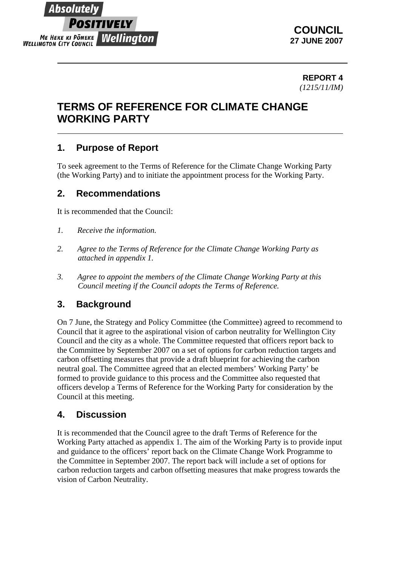## Absolute **SITIVELY** ME HEKE KI PONEKE Wellington **WELLINGTON CITY COUNCIL**

**COUNCIL 27 JUNE 2007** 

#### **REPORT 4** *(1215/11/IM)*

# **TERMS OF REFERENCE FOR CLIMATE CHANGE WORKING PARTY**

## **1. Purpose of Report**

To seek agreement to the Terms of Reference for the Climate Change Working Party (the Working Party) and to initiate the appointment process for the Working Party.

## **2. Recommendations**

It is recommended that the Council:

- *1. Receive the information.*
- *2. Agree to the Terms of Reference for the Climate Change Working Party as attached in appendix 1.*
- *3. Agree to appoint the members of the Climate Change Working Party at this Council meeting if the Council adopts the Terms of Reference.*

## **3. Background**

On 7 June, the Strategy and Policy Committee (the Committee) agreed to recommend to Council that it agree to the aspirational vision of carbon neutrality for Wellington City Council and the city as a whole. The Committee requested that officers report back to the Committee by September 2007 on a set of options for carbon reduction targets and carbon offsetting measures that provide a draft blueprint for achieving the carbon neutral goal. The Committee agreed that an elected members' Working Party' be formed to provide guidance to this process and the Committee also requested that officers develop a Terms of Reference for the Working Party for consideration by the Council at this meeting.

## **4. Discussion**

It is recommended that the Council agree to the draft Terms of Reference for the Working Party attached as appendix 1. The aim of the Working Party is to provide input and guidance to the officers' report back on the Climate Change Work Programme to the Committee in September 2007. The report back will include a set of options for carbon reduction targets and carbon offsetting measures that make progress towards the vision of Carbon Neutrality.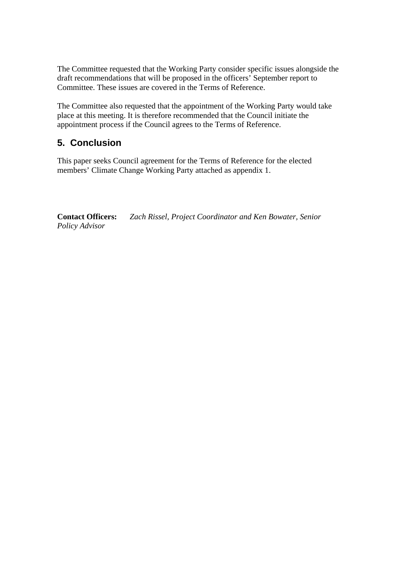The Committee requested that the Working Party consider specific issues alongside the draft recommendations that will be proposed in the officers' September report to Committee. These issues are covered in the Terms of Reference.

The Committee also requested that the appointment of the Working Party would take place at this meeting. It is therefore recommended that the Council initiate the appointment process if the Council agrees to the Terms of Reference.

## **5. Conclusion**

This paper seeks Council agreement for the Terms of Reference for the elected members' Climate Change Working Party attached as appendix 1.

**Contact Officers:** *Zach Rissel, Project Coordinator and Ken Bowater, Senior Policy Advisor*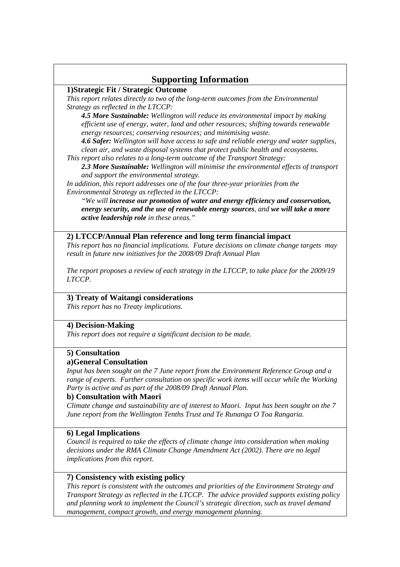### **Supporting Information**

#### **1)Strategic Fit / Strategic Outcome**

*This report relates directly to two of the long-term outcomes from the Environmental Strategy as reflected in the LTCCP:* 

*4.5 More Sustainable: Wellington will reduce its environmental impact by making efficient use of energy, water, land and other resources; shifting towards renewable energy resources; conserving resources; and minimising waste.* 

*4.6 Safer: Wellington will have access to safe and reliable energy and water supplies, clean air, and waste disposal systems that protect public health and ecosystems.* 

*This report also relates to a long-term outcome of the Transport Strategy:* 

*2.3 More Sustainable: Wellington will minimise the environmental effects of transport and support the environmental strategy.* 

*In addition, this report addresses one of the four three-year priorities from the Environmental Strategy as reflected in the LTCCP:* 

*"We will increase our promotion of water and energy efficiency and conservation, energy security, and the use of renewable energy sources, and we will take a more active leadership role in these areas."* 

#### **2) LTCCP/Annual Plan reference and long term financial impact**

*This report has no financial implications. Future decisions on climate change targets may result in future new initiatives for the 2008/09 Draft Annual Plan* 

*The report proposes a review of each strategy in the LTCCP, to take place for the 2009/19 LTCCP.* 

#### **3) Treaty of Waitangi considerations**

*This report has no Treaty implications.* 

#### **4) Decision-Making**

*This report does not require a significant decision to be made.* 

#### **5) Consultation**

#### **a)General Consultation**

*Input has been sought on the 7 June report from the Environment Reference Group and a range of experts. Further consultation on specific work items will occur while the Working Party is active and as part of the 2008/09 Draft Annual Plan.*

#### **b) Consultation with Maori**

*Climate change and sustainability are of interest to Maori. Input has been sought on the 7 June report from the Wellington Tenths Trust and Te Runanga O Toa Rangaria.* 

#### **6) Legal Implications**

*Council is required to take the effects of climate change into consideration when making decisions under the RMA Climate Change Amendment Act (2002). There are no legal implications from this report.* 

#### **7) Consistency with existing policy**

*This report is consistent with the outcomes and priorities of the Environment Strategy and Transport Strategy as reflected in the LTCCP. The advice provided supports existing policy and planning work to implement the Council's strategic direction, such as travel demand management, compact growth, and energy management planning.*